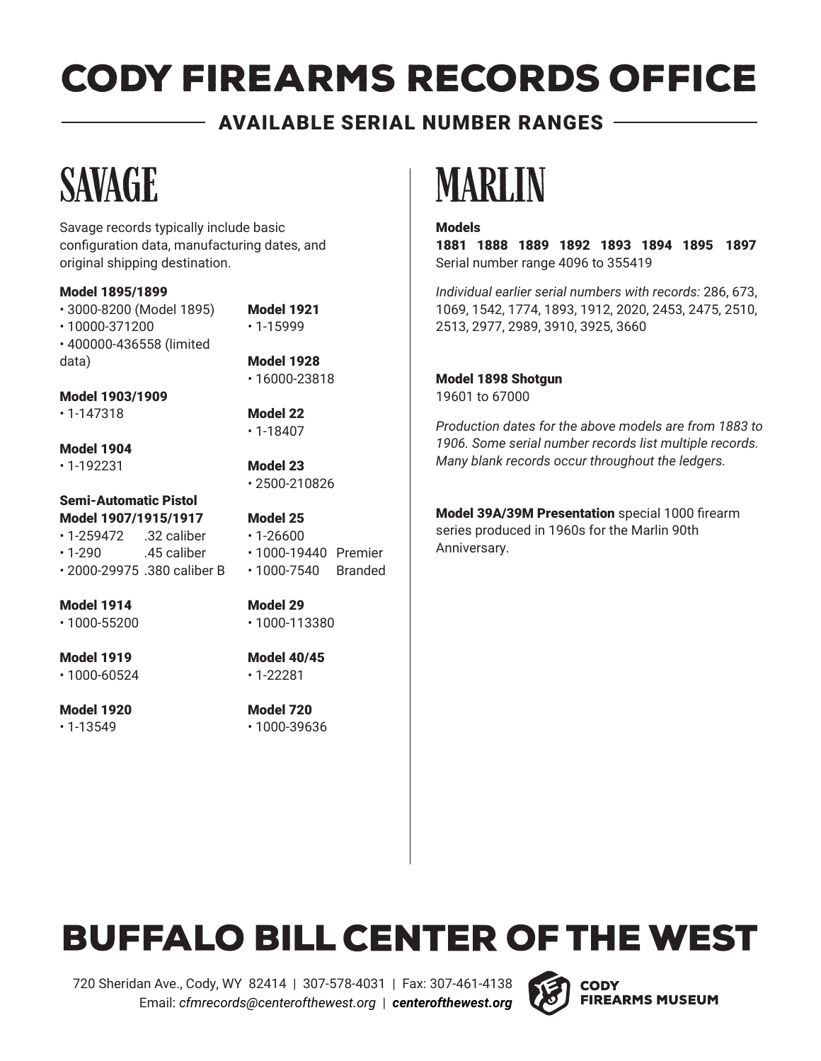#### AVAILABLE SERIAL NUMBER RANGES

Savage records typically include basic configuration data, manufacturing dates, and original shipping destination.

#### Model 1895/1899

• 3000-8200 (Model 1895) • 10000-371200 • 400000-436558 (limited data)

Model 1921 • 1-15999

Model 1928 • 16000-23818

> Model 22 • 1-18407

Model 23 • 2500-210826

Model 1903/1909

• 1-147318

Model 1904

• 1-192231

#### Semi-Automatic Pistol Model 1907/1915/1917 • 1-259472 .32 caliber

 $\cdot$  1-290  $\cdot$  45 caliber • 2000-29975 .380 caliber B

Model 1914 • 1000-55200

Model 1919

• 1000-60524

Model 1920 • 1-13549

Model 25 • 1-26600 • 1000-19440 Premier

- 1000-7540 Branded
- Model 29 • 1000-113380

Model 40/45 • 1-22281

Model 720 • 1000-39636

## SAVAGE MARLIN

#### Models

1881 1888 1889 1892 1893 1894 1895 1897 Serial number range 4096 to 355419

*Individual earlier serial numbers with records:* 286, 673, 1069, 1542, 1774, 1893, 1912, 2020, 2453, 2475, 2510, 2513, 2977, 2989, 3910, 3925, 3660

Model 1898 Shotgun 19601 to 67000

*Production dates for the above models are from 1883 to 1906. Some serial number records list multiple records. Many blank records occur throughout the ledgers.*

Model 39A/39M Presentation special 1000 firearm series produced in 1960s for the Marlin 90th Anniversary.

### **BUFFALO BILL CENTER OF THE WEST**

720 Sheridan Ave., Cody, WY 82414 | 307-578-4031 | Fax: 307-461-4138 Email: *cfmrecords@centerofthewest.org* | *centerofthewest.org*

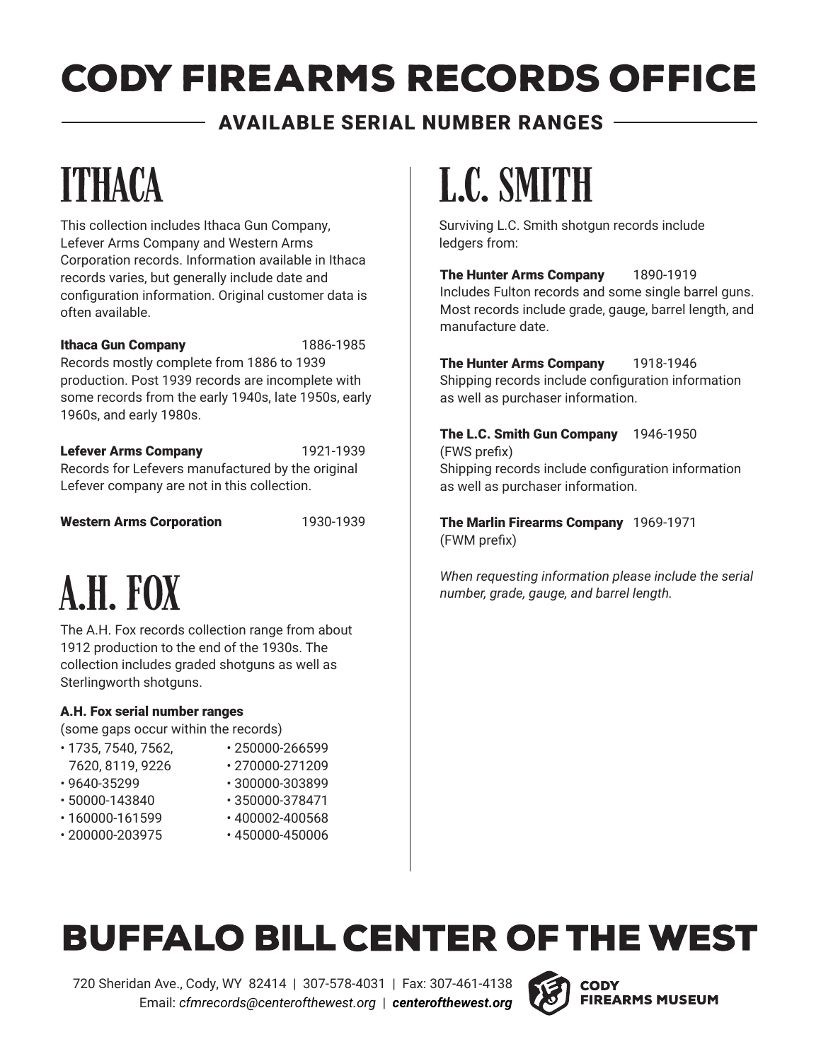### AVAILABLE SERIAL NUMBER RANGES

# **ITHACA**

This collection includes Ithaca Gun Company, Lefever Arms Company and Western Arms Corporation records. Information available in Ithaca records varies, but generally include date and configuration information. Original customer data is often available.

#### Ithaca Gun Company 1886-1985

Records mostly complete from 1886 to 1939 production. Post 1939 records are incomplete with some records from the early 1940s, late 1950s, early 1960s, and early 1980s.

Lefever Arms Company 1921-1939 Records for Lefevers manufactured by the original Lefever company are not in this collection.

Western Arms Corporation 1930-1939

# a.h. fox

The A.H. Fox records collection range from about 1912 production to the end of the 1930s. The collection includes graded shotguns as well as Sterlingworth shotguns.

#### A.H. Fox serial number ranges

(some gaps occur within the records)

- 1735, 7540, 7562, 7620, 8119, 9226
- 250000-266599
- 270000-271209
- 9640-35299
- 300000-303899
- 50000-143840
- 160000-161599
- 200000-203975
- 350000-378471 • 400002-400568
- 
- 450000-450006

# l.c. smith

Surviving L.C. Smith shotgun records include ledgers from:

The Hunter Arms Company 1890-1919 Includes Fulton records and some single barrel guns. Most records include grade, gauge, barrel length, and manufacture date.

The Hunter Arms Company 1918-1946 Shipping records include configuration information as well as purchaser information.

The L.C. Smith Gun Company 1946-1950 (FWS prefix) Shipping records include configuration information

as well as purchaser information.

The Marlin Firearms Company 1969-1971 (FWM prefix)

*When requesting information please include the serial number, grade, gauge, and barrel length.*

### **BUFFALO BILL CENTER OF THE WEST**

720 Sheridan Ave., Cody, WY 82414 | 307-578-4031 | Fax: 307-461-4138 Email: *cfmrecords@centerofthewest.org* | *centerofthewest.org*

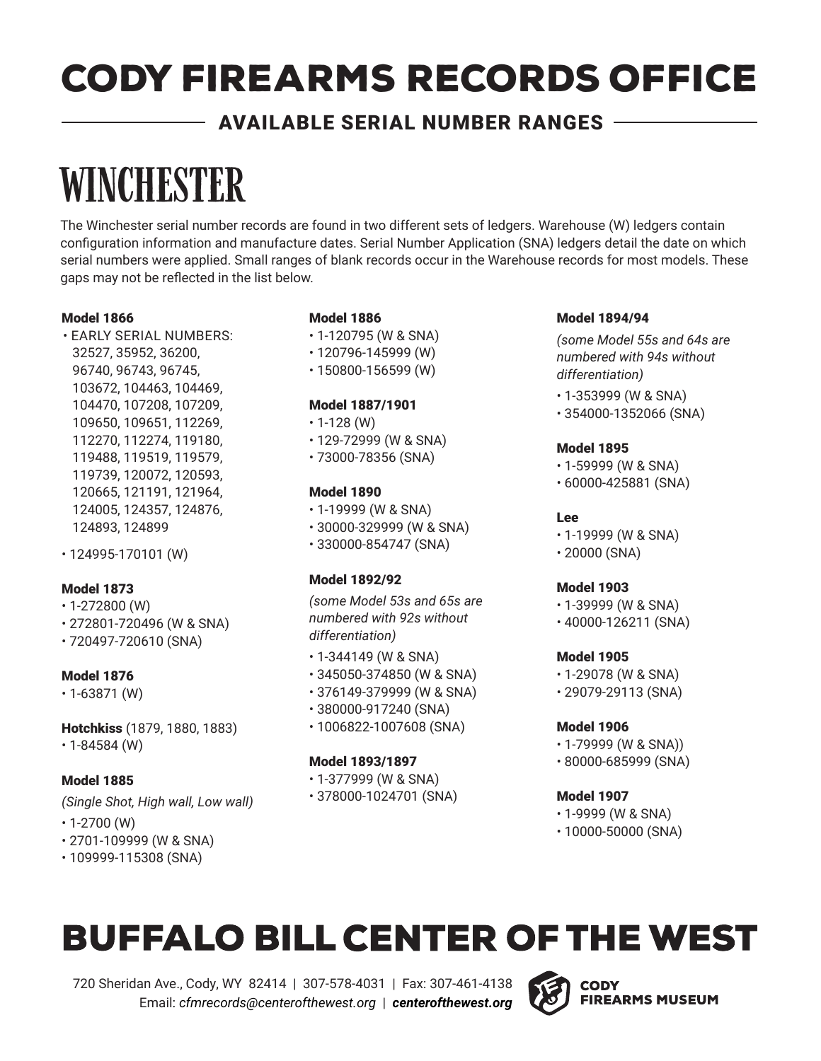#### AVAILABLE SERIAL NUMBER RANGES

# **WINCHESTER**

The Winchester serial number records are found in two different sets of ledgers. Warehouse (W) ledgers contain configuration information and manufacture dates. Serial Number Application (SNA) ledgers detail the date on which serial numbers were applied. Small ranges of blank records occur in the Warehouse records for most models. These gaps may not be reflected in the list below.

#### Model 1866

- EARLY SERIAL NUMBERS: 32527, 35952, 36200, 96740, 96743, 96745, 103672, 104463, 104469, 104470, 107208, 107209, 109650, 109651, 112269, 112270, 112274, 119180, 119488, 119519, 119579, 119739, 120072, 120593, 120665, 121191, 121964, 124005, 124357, 124876, 124893, 124899
- 124995-170101 (W)

#### Model 1873

- 1-272800 (W)
- 272801-720496 (W & SNA)
- 720497-720610 (SNA)

#### Model 1876

- 1-63871 (W)
- Hotchkiss (1879, 1880, 1883) • 1-84584 (W)

#### Model 1885

*(Single Shot, High wall, Low wall)*

- $\cdot$  1-2700 (W)
- 2701-109999 (W & SNA)
- 109999-115308 (SNA)

#### Model 1886

- 1-120795 (W & SNA)
- 120796-145999 (W)
- 150800-156599 (W)

#### Model 1887/1901

- 1-128 (W)
- 129-72999 (W & SNA)
- 73000-78356 (SNA)

#### Model 1890

- 1-19999 (W & SNA)
- 30000-329999 (W & SNA)
- 330000-854747 (SNA)

#### Model 1892/92

*(some Model 53s and 65s are numbered with 92s without differentiation)*

- 1-344149 (W & SNA)
- 345050-374850 (W & SNA)
- 376149-379999 (W & SNA)
- 380000-917240 (SNA)
- 1006822-1007608 (SNA)

#### Model 1893/1897

- 1-377999 (W & SNA)
- 378000-1024701 (SNA)

#### Model 1894/94

*(some Model 55s and 64s are numbered with 94s without differentiation)*

- 1-353999 (W & SNA)
- 354000-1352066 (SNA)

#### Model 1895

- 1-59999 (W & SNA)
- 60000-425881 (SNA)

#### Lee

- 1-19999 (W & SNA)
- 20000 (SNA)

#### Model 1903

- 1-39999 (W & SNA)
- 40000-126211 (SNA)

#### Model 1905

- 1-29078 (W & SNA)
- 29079-29113 (SNA)

#### Model 1906

- 1-79999 (W & SNA))
- 80000-685999 (SNA)

#### Model 1907

- 1-9999 (W & SNA)
- 10000-50000 (SNA)

### **BUFFALO BILL CENTER OF THE WEST**

720 Sheridan Ave., Cody, WY 82414 | 307-578-4031 | Fax: 307-461-4138 Email: *cfmrecords@centerofthewest.org* | *centerofthewest.org*